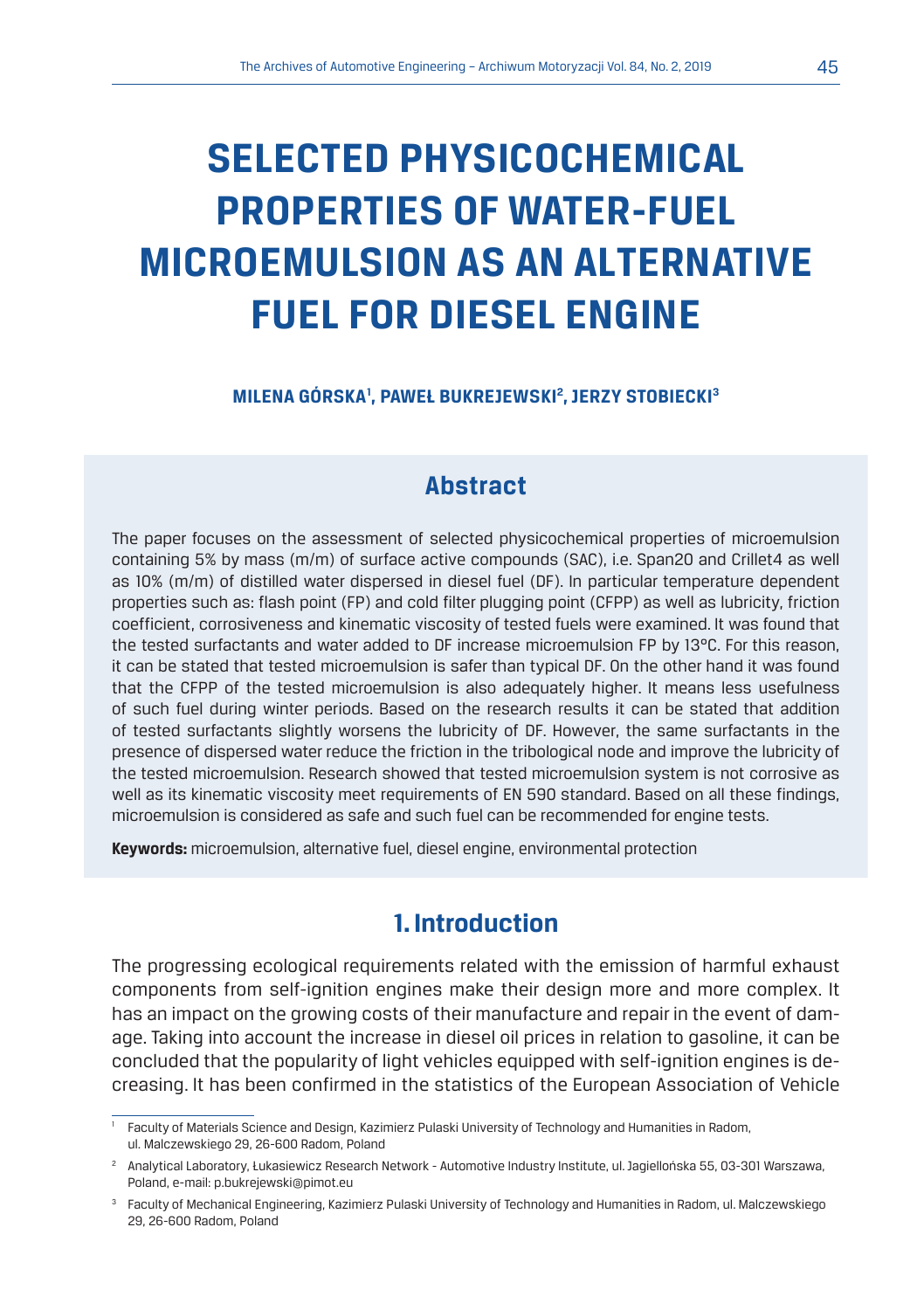# **SELECTED PHYSICOCHEMICAL PROPERTIES OF WATER-FUEL MICROEMULSION AS AN ALTERNATIVE FUEL FOR DIESEL ENGINE**

**MILENA GÓRSKA1 , PAWEŁ BUKREJEWSKI2 , JERZY STOBIECKI3**

## **Abstract**

The paper focuses on the assessment of selected physicochemical properties of microemulsion containing 5% by mass (m/m) of surface active compounds (SAC), i.e. Span20 and Crillet4 as well as 10% (m/m) of distilled water dispersed in diesel fuel (DF). In particular temperature dependent properties such as: flash point (FP) and cold filter plugging point (CFPP) as well as lubricity, friction coefficient, corrosiveness and kinematic viscosity of tested fuels were examined. It was found that the tested surfactants and water added to DF increase microemulsion FP by 13°C. For this reason, it can be stated that tested microemulsion is safer than typical DF. On the other hand it was found that the CFPP of the tested microemulsion is also adequately higher. It means less usefulness of such fuel during winter periods. Based on the research results it can be stated that addition of tested surfactants slightly worsens the lubricity of DF. However, the same surfactants in the presence of dispersed water reduce the friction in the tribological node and improve the lubricity of the tested microemulsion. Research showed that tested microemulsion system is not corrosive as well as its kinematic viscosity meet requirements of EN 590 standard. Based on all these findings, microemulsion is considered as safe and such fuel can be recommended for engine tests.

**Keywords:** microemulsion, alternative fuel, diesel engine, environmental protection

# **1. Introduction**

The progressing ecological requirements related with the emission of harmful exhaust components from self-ignition engines make their design more and more complex. It has an impact on the growing costs of their manufacture and repair in the event of damage. Taking into account the increase in diesel oil prices in relation to gasoline, it can be concluded that the popularity of light vehicles equipped with self-ignition engines is decreasing. It has been confirmed in the statistics of the European Association of Vehicle

<sup>1</sup> Faculty of Materials Science and Design, Kazimierz Pulaski University of Technology and Humanities in Radom, ul. Malczewskiego 29, 26-600 Radom, Poland

<sup>2</sup> Analytical Laboratory, Łukasiewicz Research Network - Automotive Industry Institute, ul. Jagiellońska 55, 03-301 Warszawa, Poland, e-mail: p.bukrejewski@pimot.eu

<sup>3</sup> Faculty of Mechanical Engineering, Kazimierz Pulaski University of Technology and Humanities in Radom, ul. Malczewskiego 29, 26-600 Radom, Poland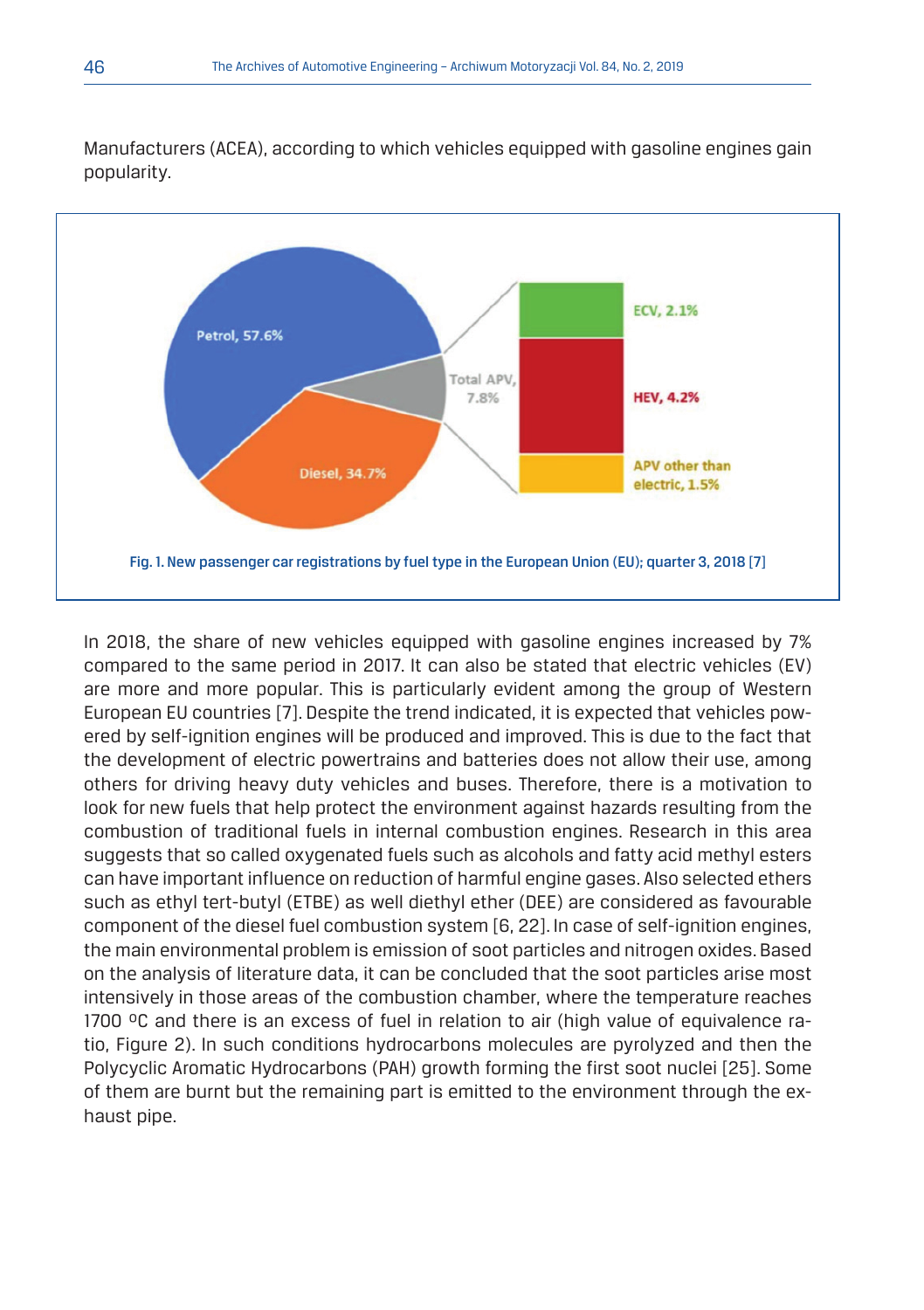Manufacturers (ACEA), according to which vehicles equipped with gasoline engines gain popularity.



In 2018, the share of new vehicles equipped with gasoline engines increased by 7% compared to the same period in 2017. It can also be stated that electric vehicles (EV) are more and more popular. This is particularly evident among the group of Western European EU countries [7]. Despite the trend indicated, it is expected that vehicles powered by self-ignition engines will be produced and improved. This is due to the fact that the development of electric powertrains and batteries does not allow their use, among others for driving heavy duty vehicles and buses. Therefore, there is a motivation to look for new fuels that help protect the environment against hazards resulting from the combustion of traditional fuels in internal combustion engines. Research in this area suggests that so called oxygenated fuels such as alcohols and fatty acid methyl esters can have important influence on reduction of harmful engine gases. Also selected ethers such as ethyl tert-butyl (ETBE) as well diethyl ether (DEE) are considered as favourable component of the diesel fuel combustion system [6, 22]. In case of self-ignition engines, the main environmental problem is emission of soot particles and nitrogen oxides. Based on the analysis of literature data, it can be concluded that the soot particles arise most intensively in those areas of the combustion chamber, where the temperature reaches 1700 °C and there is an excess of fuel in relation to air (high value of equivalence ratio, Figure 2). In such conditions hydrocarbons molecules are pyrolyzed and then the Polycyclic Aromatic Hydrocarbons (PAH) growth forming the first soot nuclei [25]. Some of them are burnt but the remaining part is emitted to the environment through the exhaust pipe.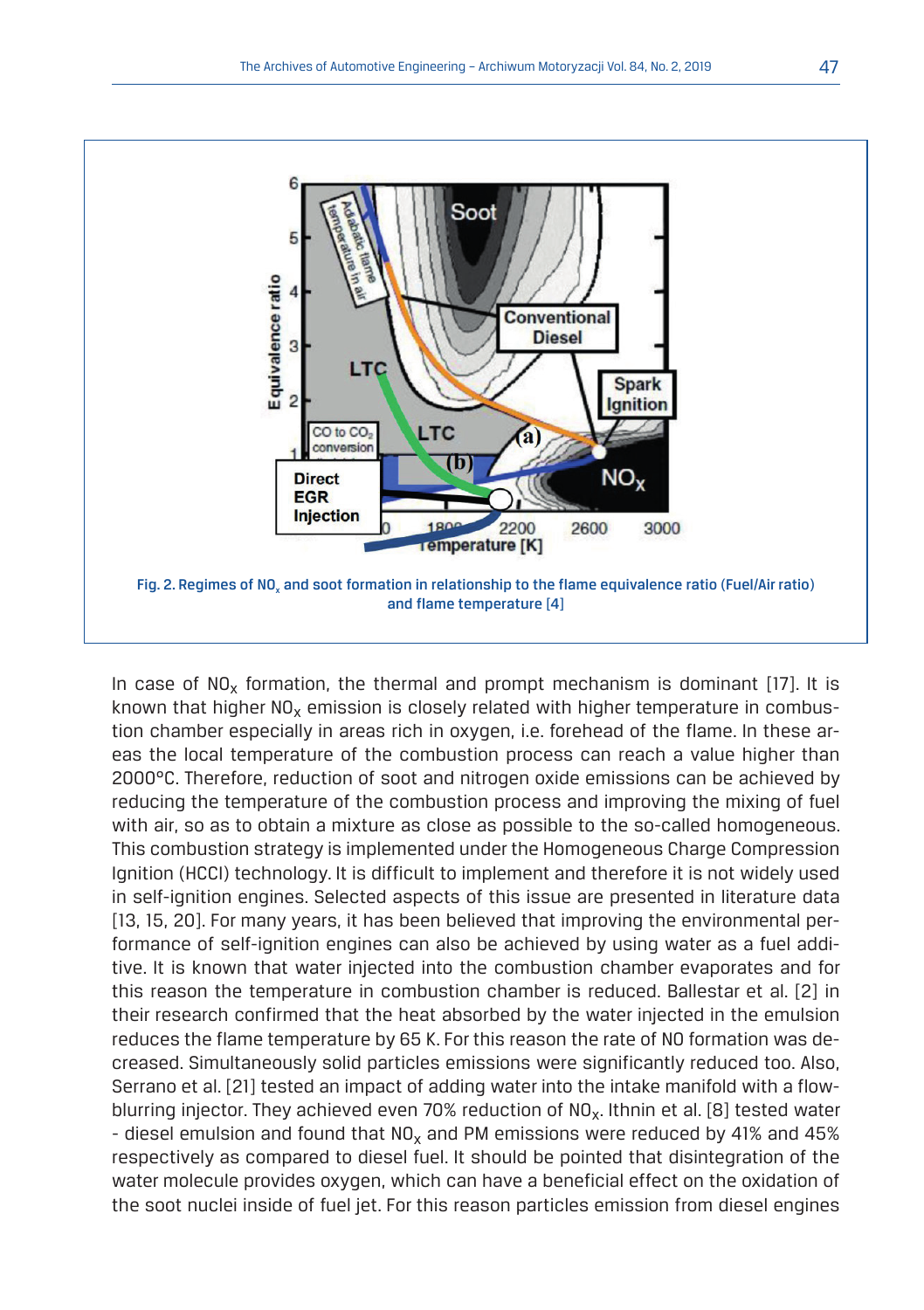

In case of  $NO<sub>x</sub>$  formation, the thermal and prompt mechanism is dominant [17]. It is known that higher  $NO<sub>x</sub>$  emission is closely related with higher temperature in combustion chamber especially in areas rich in oxygen, i.e. forehead of the flame. In these areas the local temperature of the combustion process can reach a value higher than 2000°C. Therefore, reduction of soot and nitrogen oxide emissions can be achieved by reducing the temperature of the combustion process and improving the mixing of fuel with air, so as to obtain a mixture as close as possible to the so-called homogeneous. This combustion strategy is implemented under the Homogeneous Charge Compression Ignition (HCCI) technology. It is difficult to implement and therefore it is not widely used in self-ignition engines. Selected aspects of this issue are presented in literature data [13, 15, 20]. For many years, it has been believed that improving the environmental performance of self-ignition engines can also be achieved by using water as a fuel additive. It is known that water injected into the combustion chamber evaporates and for this reason the temperature in combustion chamber is reduced. Ballestar et al. [2] in their research confirmed that the heat absorbed by the water injected in the emulsion reduces the flame temperature by 65 K. For this reason the rate of NO formation was decreased. Simultaneously solid particles emissions were significantly reduced too. Also, Serrano et al. [21] tested an impact of adding water into the intake manifold with a flowblurring injector. They achieved even 70% reduction of  $NO<sub>x</sub>$ . Ithnin et al. [8] tested water - diesel emulsion and found that  $NO<sub>x</sub>$  and PM emissions were reduced by 41% and 45% respectively as compared to diesel fuel. It should be pointed that disintegration of the water molecule provides oxygen, which can have a beneficial effect on the oxidation of the soot nuclei inside of fuel jet. For this reason particles emission from diesel engines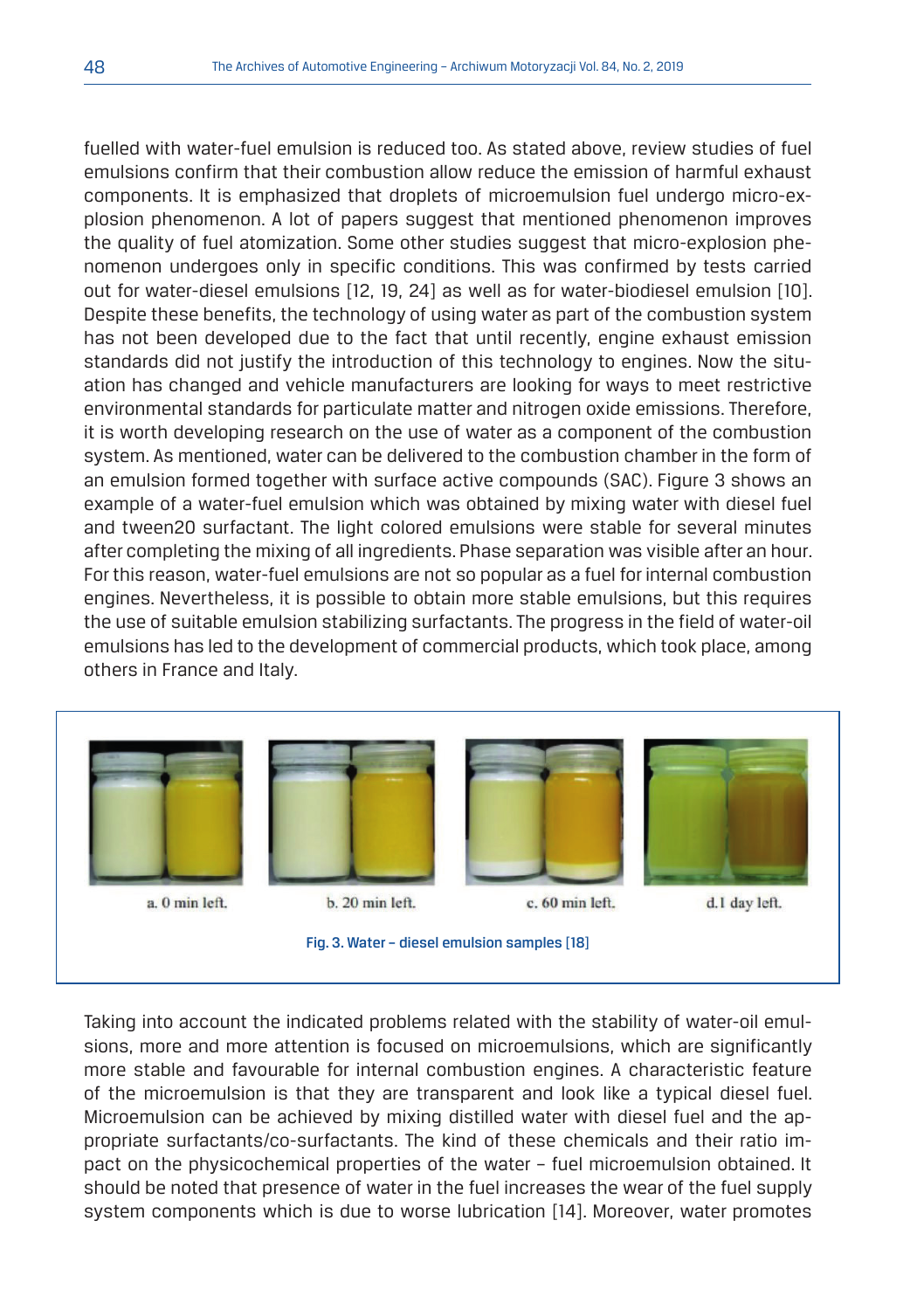fuelled with water-fuel emulsion is reduced too. As stated above, review studies of fuel emulsions confirm that their combustion allow reduce the emission of harmful exhaust components. It is emphasized that droplets of microemulsion fuel undergo micro-explosion phenomenon. A lot of papers suggest that mentioned phenomenon improves the quality of fuel atomization. Some other studies suggest that micro-explosion phenomenon undergoes only in specific conditions. This was confirmed by tests carried out for water-diesel emulsions [12, 19, 24] as well as for water-biodiesel emulsion [10]. Despite these benefits, the technology of using water as part of the combustion system has not been developed due to the fact that until recently, engine exhaust emission standards did not justify the introduction of this technology to engines. Now the situation has changed and vehicle manufacturers are looking for ways to meet restrictive environmental standards for particulate matter and nitrogen oxide emissions. Therefore, it is worth developing research on the use of water as a component of the combustion system. As mentioned, water can be delivered to the combustion chamber in the form of an emulsion formed together with surface active compounds (SAC). Figure 3 shows an example of a water-fuel emulsion which was obtained by mixing water with diesel fuel and tween20 surfactant. The light colored emulsions were stable for several minutes after completing the mixing of all ingredients. Phase separation was visible after an hour. For this reason, water-fuel emulsions are not so popular as a fuel for internal combustion engines. Nevertheless, it is possible to obtain more stable emulsions, but this requires the use of suitable emulsion stabilizing surfactants. The progress in the field of water-oil emulsions has led to the development of commercial products, which took place, among others in France and Italy.



Taking into account the indicated problems related with the stability of water-oil emulsions, more and more attention is focused on microemulsions, which are significantly more stable and favourable for internal combustion engines. A characteristic feature of the microemulsion is that they are transparent and look like a typical diesel fuel. Microemulsion can be achieved by mixing distilled water with diesel fuel and the appropriate surfactants/co-surfactants. The kind of these chemicals and their ratio impact on the physicochemical properties of the water – fuel microemulsion obtained. It should be noted that presence of water in the fuel increases the wear of the fuel supply system components which is due to worse lubrication [14]. Moreover, water promotes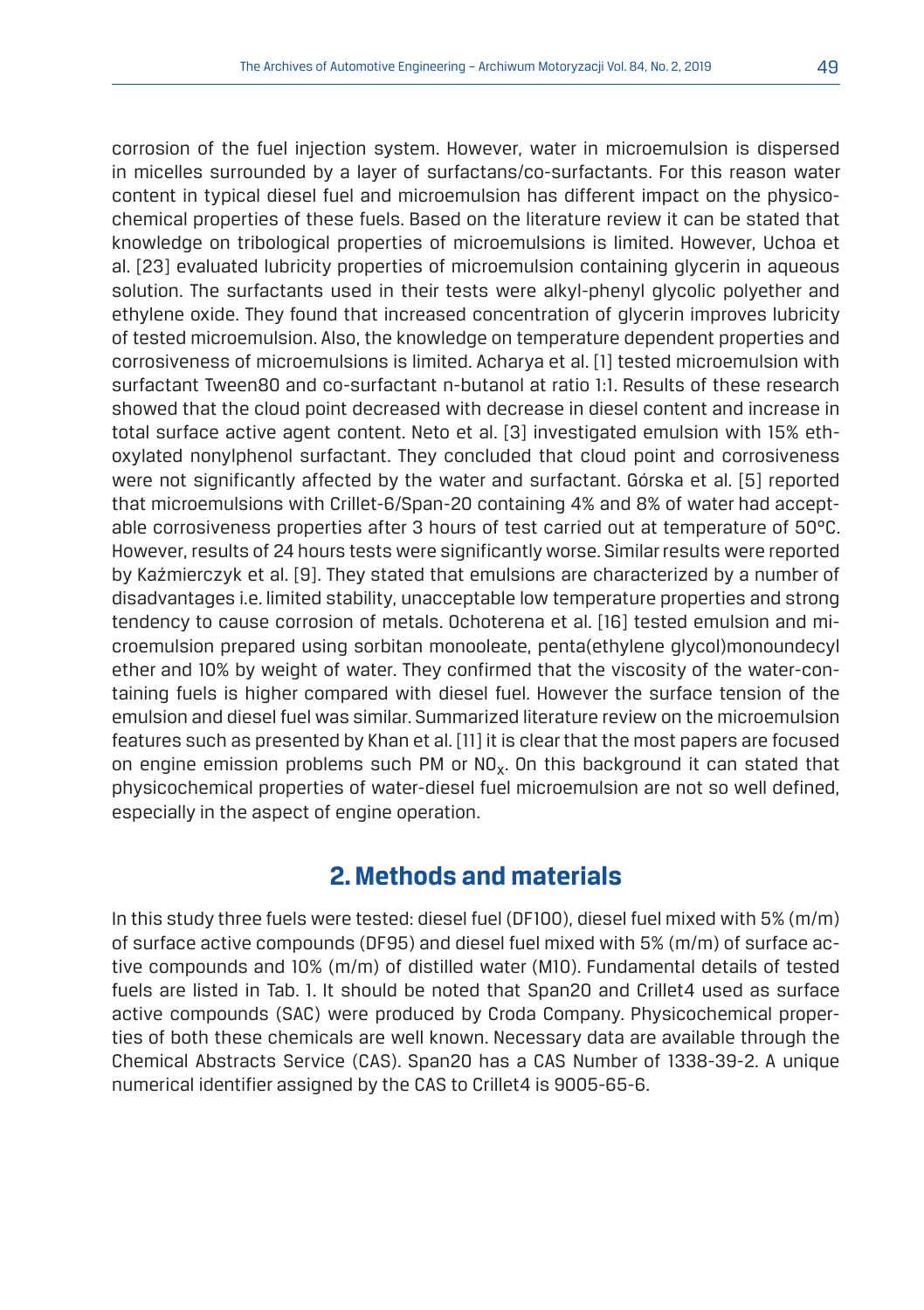corrosion of the fuel injection system. However, water in microemulsion is dispersed in micelles surrounded by a layer of surfactans/co-surfactants. For this reason water content in typical diesel fuel and microemulsion has different impact on the physicochemical properties of these fuels. Based on the literature review it can be stated that knowledge on tribological properties of microemulsions is limited. However, Uchoa et al. [23] evaluated lubricity properties of microemulsion containing glycerin in aqueous solution. The surfactants used in their tests were alkyl-phenyl glycolic polyether and ethylene oxide. They found that increased concentration of glycerin improves lubricity of tested microemulsion. Also, the knowledge on temperature dependent properties and corrosiveness of microemulsions is limited. Acharya et al. [1] tested microemulsion with surfactant Tween80 and co-surfactant n-butanol at ratio 1:1. Results of these research showed that the cloud point decreased with decrease in diesel content and increase in total surface active agent content. Neto et al. [3] investigated emulsion with 15% ethoxylated nonylphenol surfactant. They concluded that cloud point and corrosiveness were not significantly affected by the water and surfactant. Górska et al. [5] reported that microemulsions with Crillet-6/Span-20 containing 4% and 8% of water had acceptable corrosiveness properties after 3 hours of test carried out at temperature of 50°C. However, results of 24 hours tests were significantly worse. Similar results were reported by Kaźmierczyk et al. [9]. They stated that emulsions are characterized by a number of disadvantages i.e. limited stability, unacceptable low temperature properties and strong tendency to cause corrosion of metals. Ochoterena et al. [16] tested emulsion and microemulsion prepared using sorbitan monooleate, penta(ethylene glycol)monoundecyl ether and 10% by weight of water. They confirmed that the viscosity of the water-containing fuels is higher compared with diesel fuel. However the surface tension of the emulsion and diesel fuel was similar. Summarized literature review on the microemulsion features such as presented by Khan et al. [11] it is clear that the most papers are focused on engine emission problems such PM or  $NO<sub>x</sub>$ . On this background it can stated that physicochemical properties of water-diesel fuel microemulsion are not so well defined, especially in the aspect of engine operation.

## **2. Methods and materials**

In this study three fuels were tested: diesel fuel (DF100), diesel fuel mixed with 5% (m/m) of surface active compounds (DF95) and diesel fuel mixed with 5% (m/m) of surface active compounds and 10% (m/m) of distilled water (M10). Fundamental details of tested fuels are listed in Tab. 1. It should be noted that Span20 and Crillet4 used as surface active compounds (SAC) were produced by Croda Company. Physicochemical properties of both these chemicals are well known. Necessary data are available through the Chemical Abstracts Service (CAS). Span20 has a CAS Number of 1338-39-2. A unique numerical identifier assigned by the CAS to Crillet4 is 9005-65-6.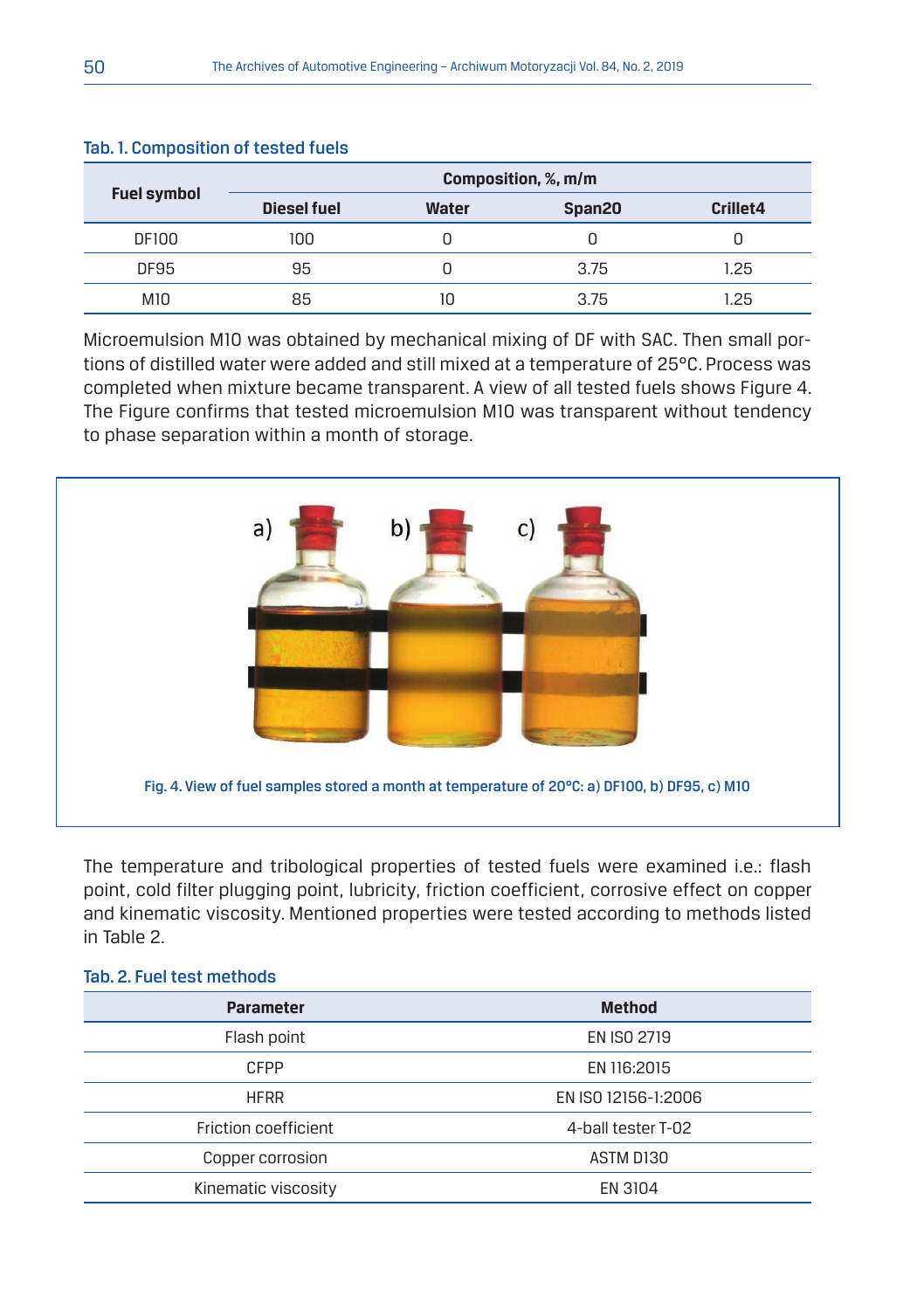| <b>Fuel symbol</b> | Composition, %, m/m |       |        |          |
|--------------------|---------------------|-------|--------|----------|
|                    | Diesel fuel         | Water | Span20 | Crillet4 |
| <b>DF100</b>       | 100                 |       |        |          |
| <b>DF95</b>        | 95                  |       | 3.75   | 1.25     |
| M10                | 85                  | 10    | 3.75   | -25      |

Tab. 1. Composition of tested fuels

Microemulsion M10 was obtained by mechanical mixing of DF with SAC. Then small portions of distilled water were added and still mixed at a temperature of 25°C. Process was completed when mixture became transparent. A view of all tested fuels shows Figure 4. The Figure confirms that tested microemulsion M10 was transparent without tendency to phase separation within a month of storage.



The temperature and tribological properties of tested fuels were examined i.e.: flash point, cold filter plugging point, lubricity, friction coefficient, corrosive effect on copper and kinematic viscosity. Mentioned properties were tested according to methods listed in Table 2.

| 190. 2. 1 UCI LESL IIIELIIUUS |                     |  |  |
|-------------------------------|---------------------|--|--|
| <b>Parameter</b>              | <b>Method</b>       |  |  |
| Flash point                   | EN ISO 2719         |  |  |
| <b>CFPP</b>                   | EN 116:2015         |  |  |
| <b>HFRR</b>                   | EN ISO 12156-1:2006 |  |  |
| Friction coefficient          | 4-ball tester T-02  |  |  |
| Copper corrosion              | ASTM D130           |  |  |
| Kinematic viscosity           | EN 3104             |  |  |
|                               |                     |  |  |

#### Tab. 2. Fuel test methods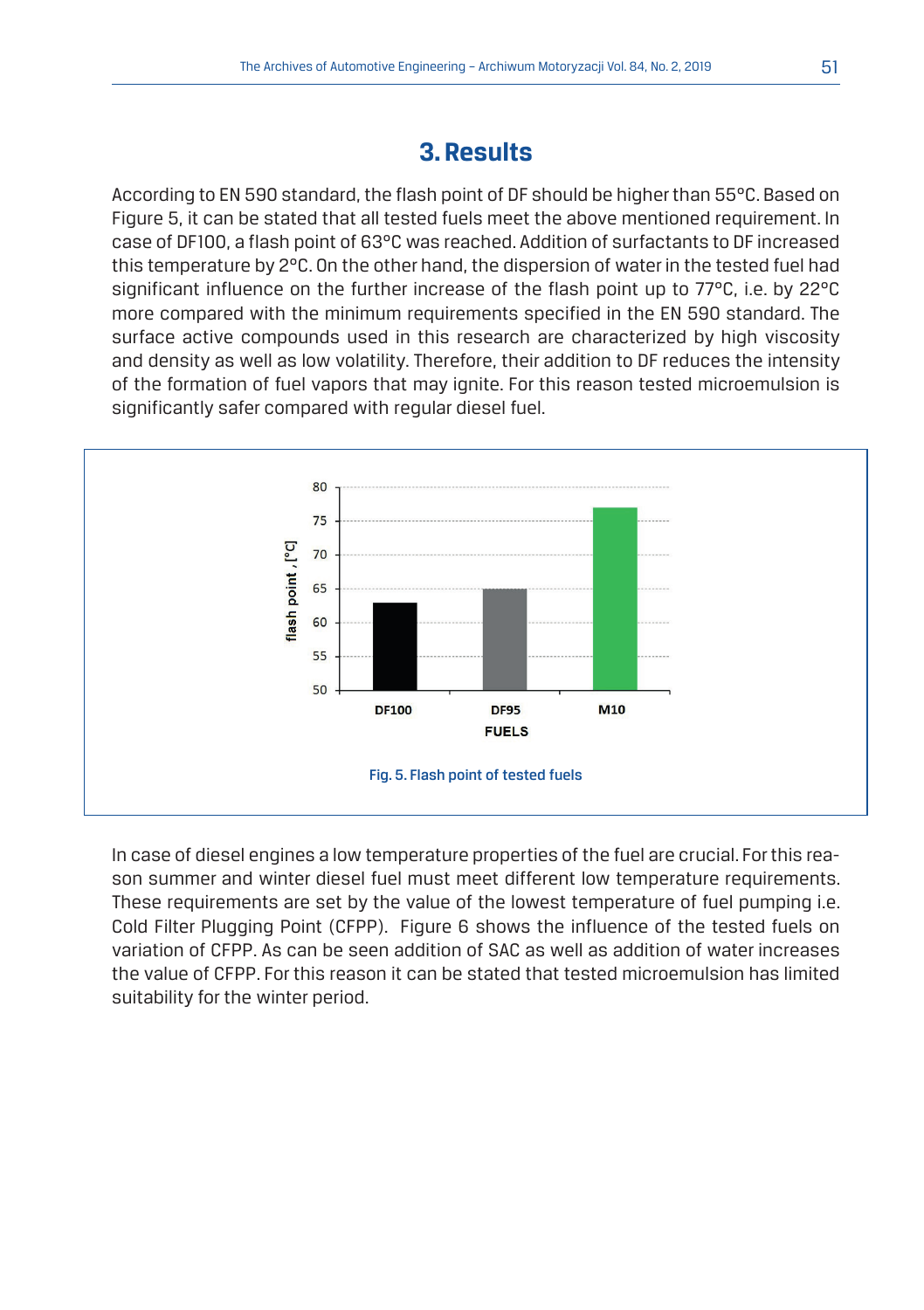## **3. Results**

According to EN 590 standard, the flash point of DF should be higher than 55°C. Based on Figure 5, it can be stated that all tested fuels meet the above mentioned requirement. In case of DF100, a flash point of 63°C was reached. Addition of surfactants to DF increased this temperature by 2°C. On the other hand, the dispersion of water in the tested fuel had significant influence on the further increase of the flash point up to 77°C, i.e. by 22°C more compared with the minimum requirements specified in the EN 590 standard. The surface active compounds used in this research are characterized by high viscosity and density as well as low volatility. Therefore, their addition to DF reduces the intensity of the formation of fuel vapors that may ignite. For this reason tested microemulsion is significantly safer compared with regular diesel fuel.



In case of diesel engines a low temperature properties of the fuel are crucial. For this reason summer and winter diesel fuel must meet different low temperature requirements. These requirements are set by the value of the lowest temperature of fuel pumping i.e. Cold Filter Plugging Point (CFPP). Figure 6 shows the influence of the tested fuels on variation of CFPP. As can be seen addition of SAC as well as addition of water increases the value of CFPP. For this reason it can be stated that tested microemulsion has limited suitability for the winter period.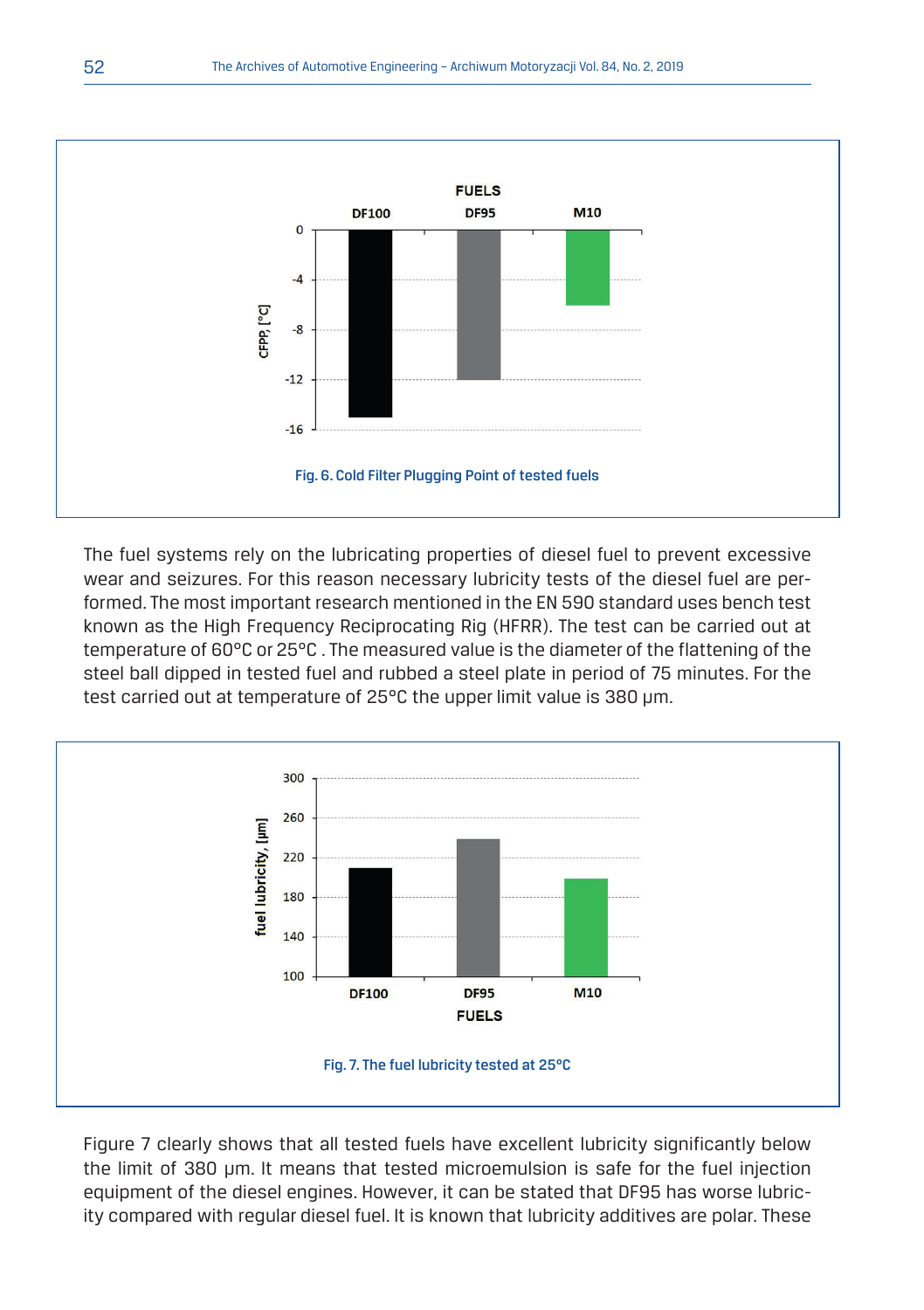

The fuel systems rely on the lubricating properties of diesel fuel to prevent excessive wear and seizures. For this reason necessary lubricity tests of the diesel fuel are performed. The most important research mentioned in the EN 590 standard uses bench test known as the High Frequency Reciprocating Rig (HFRR). The test can be carried out at temperature of 60°C or 25°C . The measured value is the diameter of the flattening of the steel ball dipped in tested fuel and rubbed a steel plate in period of 75 minutes. For the test carried out at temperature of 25°C the upper limit value is 380 μm.



Figure 7 clearly shows that all tested fuels have excellent lubricity significantly below the limit of 380 μm. It means that tested microemulsion is safe for the fuel injection equipment of the diesel engines. However, it can be stated that DF95 has worse lubricity compared with regular diesel fuel. It is known that lubricity additives are polar. These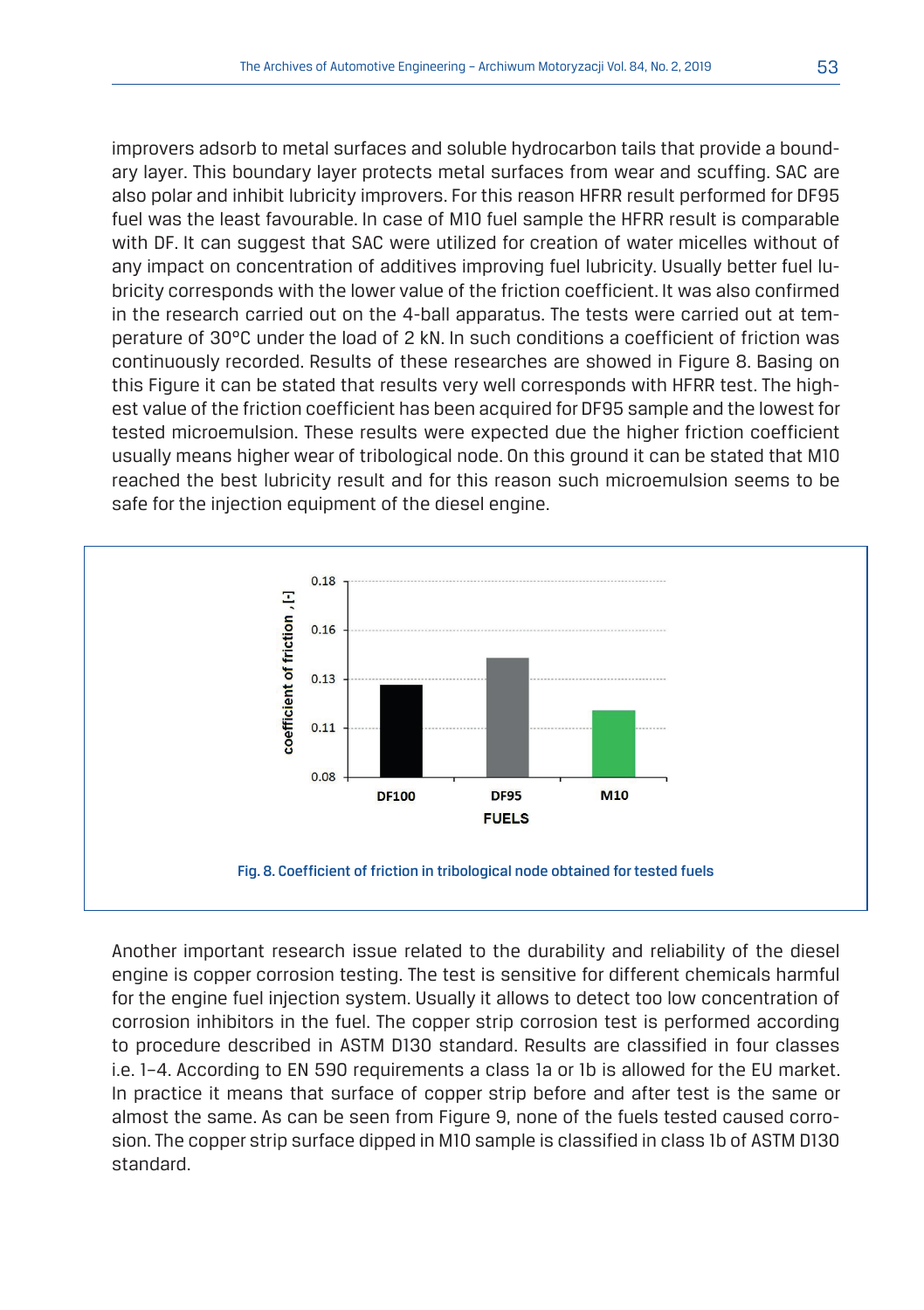improvers adsorb to metal surfaces and soluble hydrocarbon tails that provide a boundary layer. This boundary layer protects metal surfaces from wear and scuffing. SAC are also polar and inhibit lubricity improvers. For this reason HFRR result performed for DF95 fuel was the least favourable. In case of M10 fuel sample the HFRR result is comparable with DF. It can suggest that SAC were utilized for creation of water micelles without of any impact on concentration of additives improving fuel lubricity. Usually better fuel lubricity corresponds with the lower value of the friction coefficient. It was also confirmed in the research carried out on the 4-ball apparatus. The tests were carried out at temperature of 30°C under the load of 2 kN. In such conditions a coefficient of friction was continuously recorded. Results of these researches are showed in Figure 8. Basing on this Figure it can be stated that results very well corresponds with HFRR test. The highest value of the friction coefficient has been acquired for DF95 sample and the lowest for tested microemulsion. These results were expected due the higher friction coefficient usually means higher wear of tribological node. On this ground it can be stated that M10 reached the best lubricity result and for this reason such microemulsion seems to be safe for the injection equipment of the diesel engine.



Another important research issue related to the durability and reliability of the diesel engine is copper corrosion testing. The test is sensitive for different chemicals harmful for the engine fuel injection system. Usually it allows to detect too low concentration of corrosion inhibitors in the fuel. The copper strip corrosion test is performed according to procedure described in ASTM D130 standard. Results are classified in four classes i.e. 1–4. According to EN 590 requirements a class 1a or 1b is allowed for the EU market. In practice it means that surface of copper strip before and after test is the same or almost the same. As can be seen from Figure 9, none of the fuels tested caused corrosion. The copper strip surface dipped in M10 sample is classified in class 1b of ASTM D130 standard.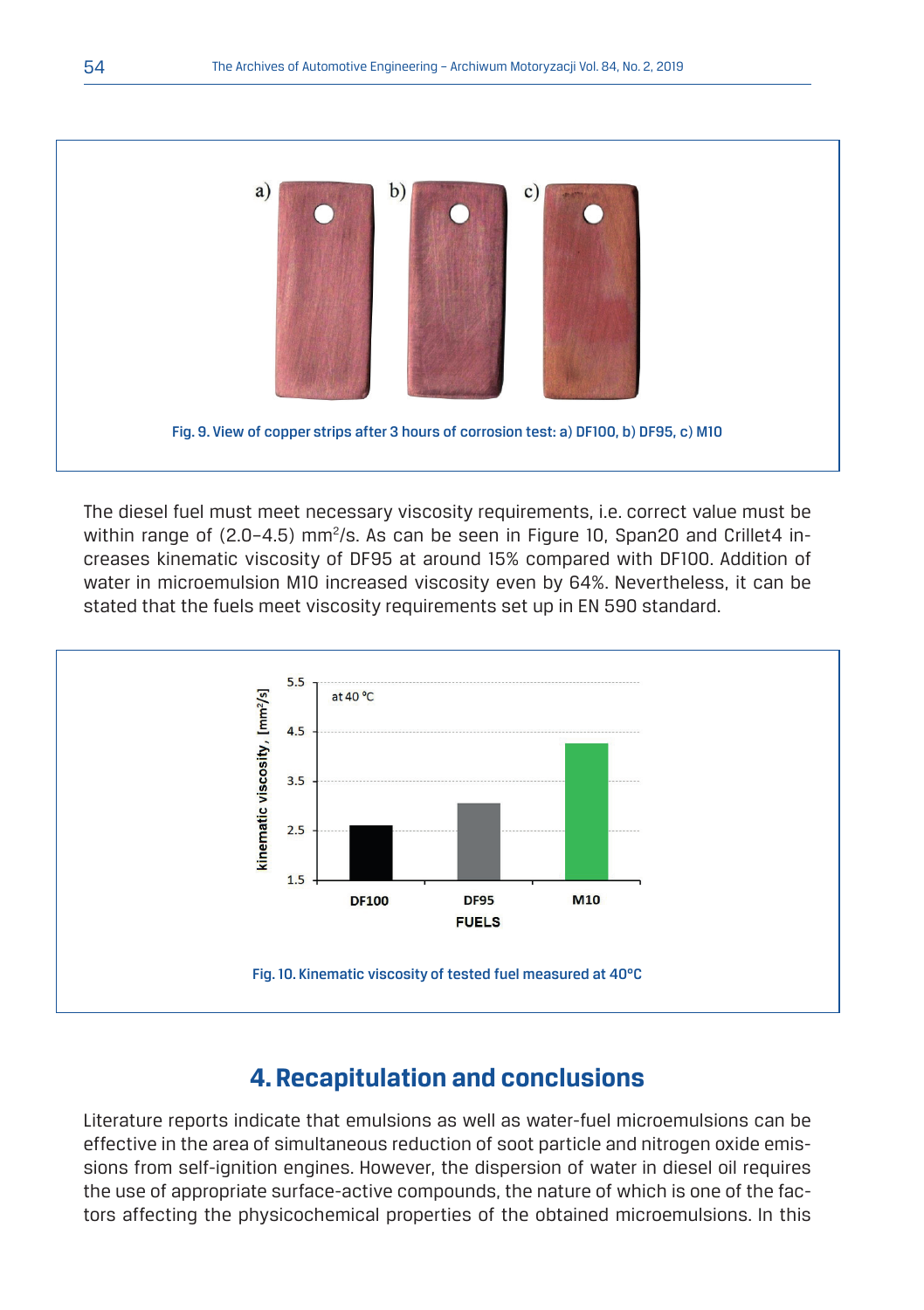

The diesel fuel must meet necessary viscosity requirements, i.e. correct value must be within range of (2.0-4.5) mm<sup>2</sup>/s. As can be seen in Figure 10, Span20 and Crillet4 increases kinematic viscosity of DF95 at around 15% compared with DF100. Addition of water in microemulsion M10 increased viscosity even by 64%. Nevertheless, it can be stated that the fuels meet viscosity requirements set up in EN 590 standard.



# **4. Recapitulation and conclusions**

Literature reports indicate that emulsions as well as water-fuel microemulsions can be effective in the area of simultaneous reduction of soot particle and nitrogen oxide emissions from self-ignition engines. However, the dispersion of water in diesel oil requires the use of appropriate surface-active compounds, the nature of which is one of the factors affecting the physicochemical properties of the obtained microemulsions. In this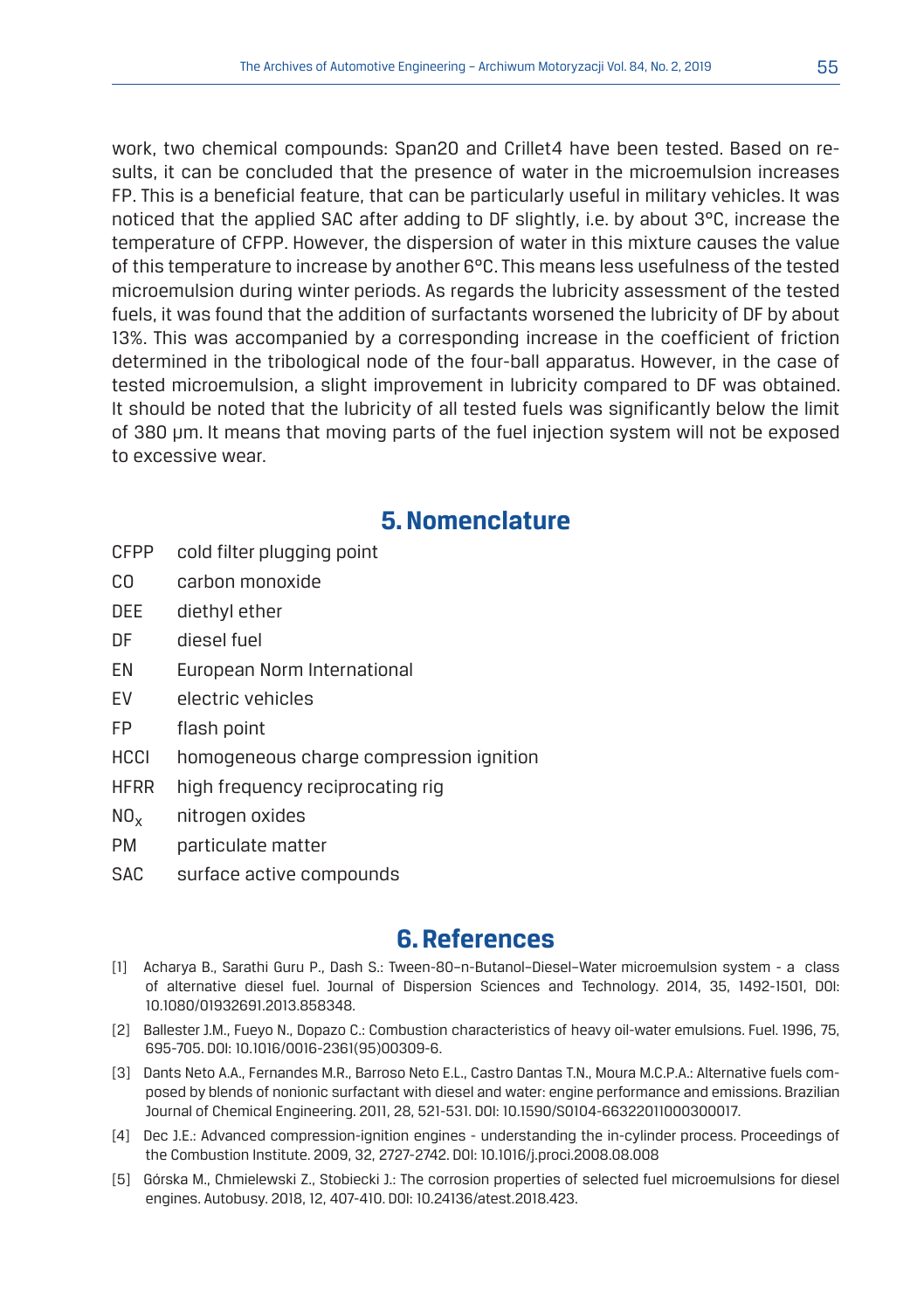work, two chemical compounds: Span20 and Crillet4 have been tested. Based on results, it can be concluded that the presence of water in the microemulsion increases FP. This is a beneficial feature, that can be particularly useful in military vehicles. It was noticed that the applied SAC after adding to DF slightly, i.e. by about 3°C, increase the temperature of CFPP. However, the dispersion of water in this mixture causes the value of this temperature to increase by another 6°C. This means less usefulness of the tested microemulsion during winter periods. As regards the lubricity assessment of the tested fuels, it was found that the addition of surfactants worsened the lubricity of DF by about 13%. This was accompanied by a corresponding increase in the coefficient of friction determined in the tribological node of the four-ball apparatus. However, in the case of tested microemulsion, a slight improvement in lubricity compared to DF was obtained. It should be noted that the lubricity of all tested fuels was significantly below the limit of 380 μm. It means that moving parts of the fuel injection system will not be exposed to excessive wear.

## **5. Nomenclature**

- CFPP cold filter plugging point
- CO carbon monoxide
- DEE diethyl ether
- DF diesel fuel
- EN European Norm International
- EV electric vehicles
- FP flash point
- HCCI homogeneous charge compression ignition
- HFRR high frequency reciprocating rig
- NOx nitrogen oxides
- PM particulate matter
- SAC surface active compounds

### **6. References**

- [1] Acharya B., Sarathi Guru P., Dash S.: Tween-80–n-Butanol–Diesel–Water microemulsion system a class of alternative diesel fuel. Journal of Dispersion Sciences and Technology. 2014, 35, 1492-1501, DOI: 10.1080/01932691.2013.858348.
- [2] Ballester J.M., Fueyo N., Dopazo C.: Combustion characteristics of heavy oil-water emulsions. Fuel. 1996, 75, 695-705. DOI: 10.1016/0016-2361(95)00309-6.
- [3] Dants Neto A.A., Fernandes M.R., Barroso Neto E.L., Castro Dantas T.N., Moura M.C.P.A.: Alternative fuels composed by blends of nonionic surfactant with diesel and water: engine performance and emissions. Brazilian Journal of Chemical Engineering. 2011, 28, 521-531. DOI: 10.1590/S0104-66322011000300017.
- [4] Dec J.E.: Advanced compression-ignition engines understanding the in-cylinder process. Proceedings of the Combustion Institute. 2009, 32, 2727-2742. DOI: 10.1016/j.proci.2008.08.008
- [5] Górska M., Chmielewski Z., Stobiecki J.: The corrosion properties of selected fuel microemulsions for diesel engines. Autobusy. 2018, 12, 407-410. DOI: 10.24136/atest.2018.423.